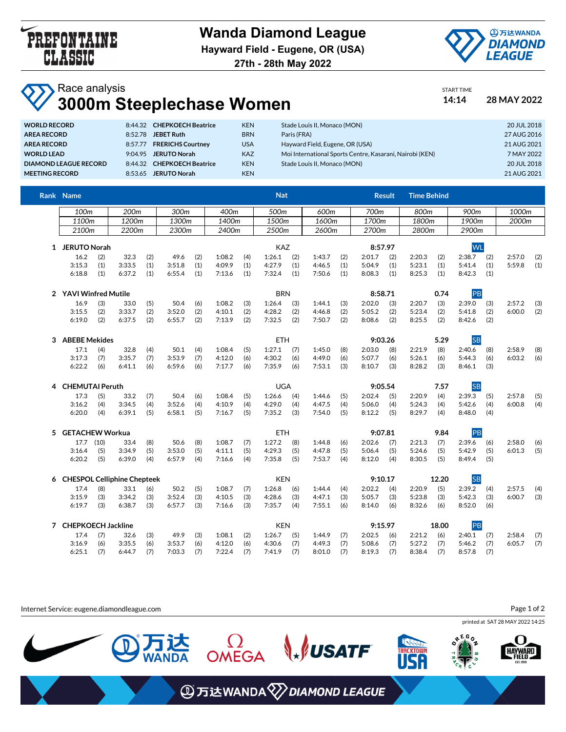

## **Wanda Diamond League**

**Hayward Field - Eugene, OR (USA)**



START TIME

**27th - 28th May 2022**

## Race analysis **3000m Steeplechase Women 14:14 28 MAY 2022**

| <b>WORLD RECORD</b>   |         | 8:44.32 CHEPKOECH Beatrice | <b>KEN</b> | Stade Louis II, Monaco (MON)                             | 20 JUL 2018 |
|-----------------------|---------|----------------------------|------------|----------------------------------------------------------|-------------|
| AREA RECORD           | 8:52.78 | <b>JEBET Ruth</b>          | <b>BRN</b> | Paris (FRA)                                              | 27 AUG 2016 |
| AREA RECORD           | 8:57.77 | <b>FRERICHS Courtney</b>   | <b>USA</b> | Hayward Field, Eugene, OR (USA)                          | 21 AUG 2021 |
| <b>WORLD LEAD</b>     |         | 9:04.95 JERUTO Norah       | <b>KAZ</b> | Moi International Sports Centre, Kasarani, Nairobi (KEN) | 7 MAY 2022  |
| DIAMOND LEAGUE RECORD |         | 8:44.32 CHEPKOECH Beatrice | <b>KEN</b> | Stade Louis II, Monaco (MON)                             | 20 JUL 2018 |
| <b>MEETING RECORD</b> |         | 8:53.65 JERUTO Norah       | <b>KEN</b> |                                                          | 21 AUG 2021 |
|                       |         |                            |            |                                                          |             |

|   | Rank Name                     |                       |        |       |        |       |            |       | <b>Nat</b> |       |        |       |         | <b>Result</b> | <b>Time Behind</b> |           |           |       |        |     |
|---|-------------------------------|-----------------------|--------|-------|--------|-------|------------|-------|------------|-------|--------|-------|---------|---------------|--------------------|-----------|-----------|-------|--------|-----|
|   | 100m                          |                       | 200m   |       | 300m   |       | 400m       |       | 500m       |       | 600m   |       | 700m    |               | 800m               |           | 900m      |       | 1000m  |     |
|   | 1200m<br>1100m                |                       |        | 1300m |        | 1400m |            | 1500m |            | 1600m |        | 1700m |         | 1800m         |                    | 1900m     |           | 2000m |        |     |
|   | 2100m                         |                       | 2200m  |       | 2300m  |       | 2400m      |       | 2500m      |       | 2600m  |       | 2700m   |               | 2800m              |           | 2900m     |       |        |     |
|   | 1 JERUTO Norah                |                       |        |       |        |       |            |       | <b>KAZ</b> |       |        |       | 8:57.97 |               |                    |           | <b>WL</b> |       |        |     |
|   | 16.2                          | (2)                   | 32.3   | (2)   | 49.6   | (2)   | 1:08.2     | (4)   | 1:26.1     | (2)   | 1:43.7 | (2)   | 2:01.7  | (2)           | 2:20.3             | (2)       | 2:38.7    | (2)   | 2:57.0 | (2) |
|   | 3:15.3                        | (1)                   | 3:33.5 | (1)   | 3:51.8 | (1)   | 4:09.9     | (1)   | 4:27.9     | (1)   | 4:46.5 | (1)   | 5:04.9  | (1)           | 5:23.1             | (1)       | 5:41.4    | (1)   | 5:59.8 | (1) |
|   | 6:18.8                        | (1)                   | 6:37.2 | (1)   | 6:55.4 | (1)   | 7:13.6     | (1)   | 7:32.4     | (1)   | 7:50.6 | (1)   | 8:08.3  | (1)           | 8:25.3             | (1)       | 8:42.3    | (1)   |        |     |
|   |                               | 2 YAVI Winfred Mutile |        |       |        |       | <b>BRN</b> |       |            |       |        |       | 8:58.71 |               | 0.74               |           | PB        |       |        |     |
|   | 16.9                          | (3)                   | 33.0   | (5)   | 50.4   | (6)   | 1:08.2     | (3)   | 1:26.4     | (3)   | 1:44.1 | (3)   | 2:02.0  | (3)           | 2:20.7             | (3)       | 2:39.0    | (3)   | 2:57.2 | (3) |
|   | 3:15.5                        | (2)                   | 3:33.7 | (2)   | 3:52.0 | (2)   | 4:10.1     | (2)   | 4:28.2     | (2)   | 4:46.8 | (2)   | 5:05.2  | (2)           | 5:23.4             | (2)       | 5:41.8    | (2)   | 6:00.0 | (2) |
|   | 6:19.0                        | (2)                   | 6:37.5 | (2)   | 6:55.7 | (2)   | 7:13.9     | (2)   | 7:32.5     | (2)   | 7:50.7 | (2)   | 8:08.6  | (2)           | 8:25.5             | (2)       | 8:42.6    | (2)   |        |     |
| 3 | <b>ABEBE Mekides</b>          |                       |        |       |        |       |            |       | <b>ETH</b> |       |        |       |         | 9:03.26       |                    | 5.29      | <b>SB</b> |       |        |     |
|   | 17.1                          | (4)                   | 32.8   | (4)   | 50.1   | (4)   | 1:08.4     | (5)   | 1:27.1     | (7)   | 1:45.0 | (8)   | 2:03.0  | (8)           | 2:21.9             | (8)       | 2:40.6    | (8)   | 2:58.9 | (8) |
|   | 3:17.3                        | (7)                   | 3:35.7 | (7)   | 3:53.9 | (7)   | 4:12.0     | (6)   | 4:30.2     | (6)   | 4:49.0 | (6)   | 5:07.7  | (6)           | 5:26.1             | (6)       | 5:44.3    | (6)   | 6:03.2 | (6) |
|   | 6:22.2                        | (6)                   | 6:41.1 | (6)   | 6:59.6 | (6)   | 7:17.7     | (6)   | 7:35.9     | (6)   | 7:53.1 | (3)   | 8:10.7  | (3)           | 8:28.2             | (3)       | 8:46.1    | (3)   |        |     |
| 4 | <b>CHEMUTAI Peruth</b>        |                       |        |       |        |       | <b>UGA</b> |       |            |       |        |       | 9:05.54 |               | 7.57               | <b>SB</b> |           |       |        |     |
|   | 17.3                          | (5)                   | 33.2   | (7)   | 50.4   | (6)   | 1:08.4     | (5)   | 1:26.6     | (4)   | 1:44.6 | (5)   | 2:02.4  | (5)           | 2:20.9             | (4)       | 2:39.3    | (5)   | 2:57.8 | (5) |
|   | 3:16.2                        | (4)                   | 3:34.5 | (4)   | 3:52.6 | (4)   | 4:10.9     | (4)   | 4:29.0     | (4)   | 4:47.5 | (4)   | 5:06.0  | (4)           | 5:24.3             | (4)       | 5:42.6    | (4)   | 6:00.8 | (4) |
|   | 6:20.0                        | (4)                   | 6:39.1 | (5)   | 6:58.1 | (5)   | 7:16.7     | (5)   | 7:35.2     | (3)   | 7:54.0 | (5)   | 8:12.2  | (5)           | 8:29.7             | (4)       | 8:48.0    | (4)   |        |     |
|   | 5 GETACHEW Workua             |                       |        |       |        |       |            |       | <b>ETH</b> |       |        |       |         | 9:07.81       |                    | 9.84      | PB        |       |        |     |
|   | 17.7 (10)                     |                       | 33.4   | (8)   | 50.6   | (8)   | 1:08.7     | (7)   | 1:27.2     | (8)   | 1:44.8 | (6)   | 2:02.6  | (7)           | 2:21.3             | (7)       | 2:39.6    | (6)   | 2:58.0 | (6) |
|   | 3:16.4                        | (5)                   | 3:34.9 | (5)   | 3:53.0 | (5)   | 4:11.1     | (5)   | 4:29.3     | (5)   | 4:47.8 | (5)   | 5:06.4  | (5)           | 5:24.6             | (5)       | 5:42.9    | (5)   | 6:01.3 | (5) |
|   | 6:20.2                        | (5)                   | 6:39.0 | (4)   | 6:57.9 | (4)   | 7:16.6     | (4)   | 7:35.8     | (5)   | 7:53.7 | (4)   | 8:12.0  | (4)           | 8:30.5             | (5)       | 8:49.4    | (5)   |        |     |
|   | 6 CHESPOL Celliphine Chepteek |                       |        |       |        |       |            |       | <b>KEN</b> |       |        |       |         | 9:10.17       |                    | 12.20     | <b>SB</b> |       |        |     |
|   | 17.4                          | (8)                   | 33.1   | (6)   | 50.2   | (5)   | 1:08.7     | (7)   | 1:26.8     | (6)   | 1:44.4 | (4)   | 2:02.2  | (4)           | 2:20.9             | (5)       | 2:39.2    | (4)   | 2:57.5 | (4) |
|   | 3:15.9                        | (3)                   | 3:34.2 | (3)   | 3:52.4 | (3)   | 4:10.5     | (3)   | 4:28.6     | (3)   | 4:47.1 | (3)   | 5:05.7  | (3)           | 5:23.8             | (3)       | 5:42.3    | (3)   | 6:00.7 | (3) |
|   | 6:19.7                        | (3)                   | 6:38.7 | (3)   | 6:57.7 | (3)   | 7:16.6     | (3)   | 7:35.7     | (4)   | 7:55.1 | (6)   | 8:14.0  | (6)           | 8:32.6             | (6)       | 8:52.0    | (6)   |        |     |
|   | 7 CHEPKOECH Jackline          |                       |        |       |        |       |            |       | <b>KEN</b> |       |        |       |         | 9:15.97       |                    | 18.00     | PB        |       |        |     |
|   | 17.4                          | (7)                   | 32.6   | (3)   | 49.9   | (3)   | 1:08.1     | (2)   | 1:26.7     | (5)   | 1:44.9 | (7)   | 2:02.5  | (6)           | 2:21.2             | (6)       | 2:40.1    | (7)   | 2:58.4 | (7) |
|   | 3:16.9                        | (6)                   | 3:35.5 | (6)   | 3:53.7 | (6)   | 4:12.0     | (6)   | 4:30.6     | (7)   | 4:49.3 | (7)   | 5:08.6  | (7)           | 5:27.2             | (7)       | 5:46.2    | (7)   | 6:05.7 | (7) |
|   | 6:25.1                        | (7)                   | 6:44.7 | (7)   | 7:03.3 | (7)   | 7:22.4     | (7)   | 7:41.9     | (7)   | 8:01.0 | (7)   | 8:19.3  | (7)           | 8:38.4             | (7)       | 8:57.8    | (7)   |        |     |

Internet Service: eugene.diamondleague.com

Page 1 of 2

printed at SAT 28 MAY 2022 14:25



**④万达WANDA**<sup>√</sup>DIAMOND LEAGUE

**WSATF** 

 $\Omega$ OMEGA